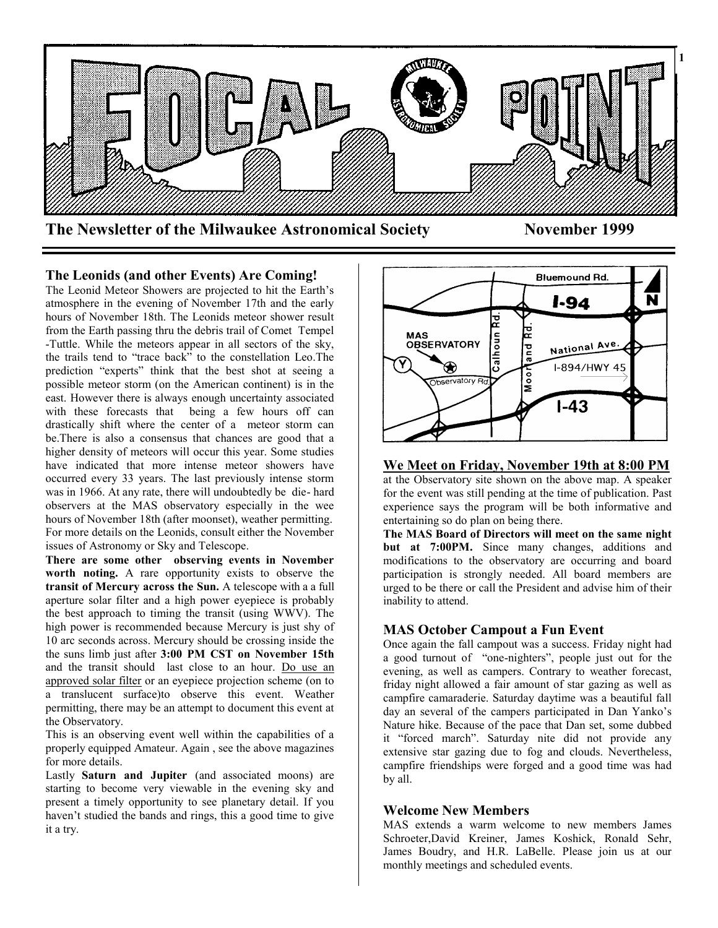

**The Leonids (and other Events) Are Coming!**

The Leonid Meteor Showers are projected to hit the Earth's atmosphere in the evening of November 17th and the early hours of November 18th. The Leonids meteor shower result from the Earth passing thru the debris trail of Comet Tempel -Tuttle. While the meteors appear in all sectors of the sky, the trails tend to "trace back" to the constellation Leo.The prediction "experts" think that the best shot at seeing a possible meteor storm (on the American continent) is in the east. However there is always enough uncertainty associated with these forecasts that being a few hours off can drastically shift where the center of a meteor storm can be.There is also a consensus that chances are good that a higher density of meteors will occur this year. Some studies have indicated that more intense meteor showers have occurred every 33 years. The last previously intense storm was in 1966. At any rate, there will undoubtedly be die- hard observers at the MAS observatory especially in the wee hours of November 18th (after moonset), weather permitting. For more details on the Leonids, consult either the November issues of Astronomy or Sky and Telescope.

**There are some other observing events in November worth noting.** A rare opportunity exists to observe the **transit of Mercury across the Sun.** A telescope with a a full aperture solar filter and a high power eyepiece is probably the best approach to timing the transit (using WWV). The high power is recommended because Mercury is just shy of 10 arc seconds across. Mercury should be crossing inside the the suns limb just after **3:00 PM CST on November 15th** and the transit should last close to an hour. Do use an approved solar filter or an eyepiece projection scheme (on to a translucent surface)to observe this event. Weather permitting, there may be an attempt to document this event at the Observatory.

This is an observing event well within the capabilities of a properly equipped Amateur. Again , see the above magazines for more details.

Lastly **Saturn and Jupiter** (and associated moons) are starting to become very viewable in the evening sky and present a timely opportunity to see planetary detail. If you haven't studied the bands and rings, this a good time to give it a try.



**We Meet on Friday, November 19th at 8:00 PM** at the Observatory site shown on the above map. A speaker for the event was still pending at the time of publication. Past experience says the program will be both informative and entertaining so do plan on being there.

**The MAS Board of Directors will meet on the same night but at 7:00PM.** Since many changes, additions and modifications to the observatory are occurring and board participation is strongly needed. All board members are urged to be there or call the President and advise him of their inability to attend.

# **MAS October Campout a Fun Event**

Once again the fall campout was a success. Friday night had a good turnout of "one-nighters", people just out for the evening, as well as campers. Contrary to weather forecast, friday night allowed a fair amount of star gazing as well as campfire camaraderie. Saturday daytime was a beautiful fall day an several of the campers participated in Dan Yanko's Nature hike. Because of the pace that Dan set, some dubbed it "forced march". Saturday nite did not provide any extensive star gazing due to fog and clouds. Nevertheless, campfire friendships were forged and a good time was had by all.

# **Welcome New Members**

MAS extends a warm welcome to new members James Schroeter,David Kreiner, James Koshick, Ronald Sehr, James Boudry, and H.R. LaBelle. Please join us at our monthly meetings and scheduled events.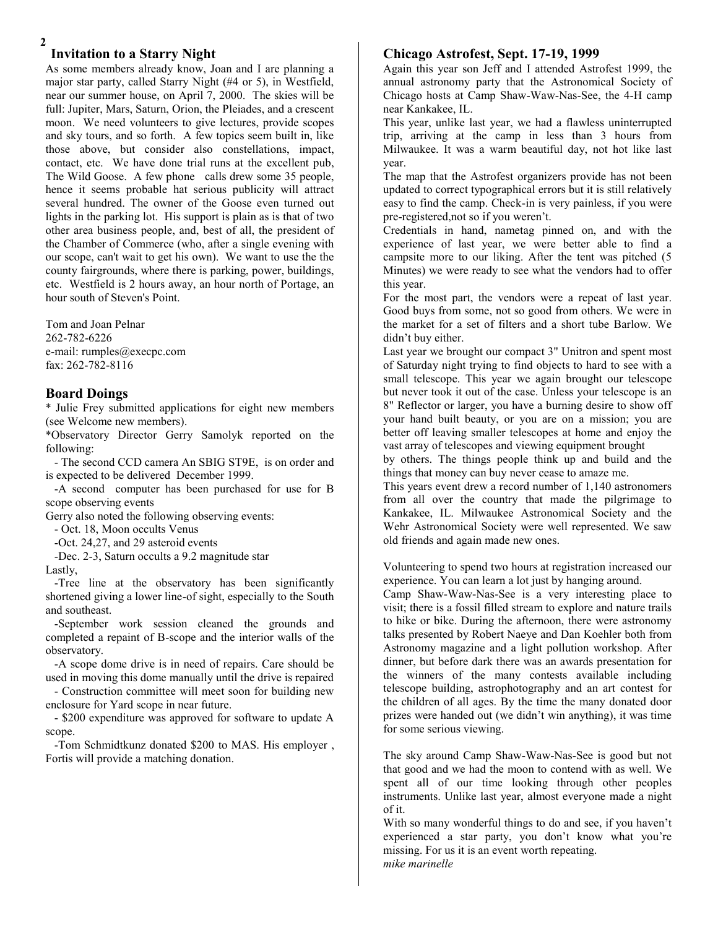# **Invitation to a Starry Night**

As some members already know, Joan and I are planning a major star party, called Starry Night (#4 or 5), in Westfield, near our summer house, on April 7, 2000. The skies will be full: Jupiter, Mars, Saturn, Orion, the Pleiades, and a crescent moon. We need volunteers to give lectures, provide scopes and sky tours, and so forth. A few topics seem built in, like those above, but consider also constellations, impact, contact, etc. We have done trial runs at the excellent pub, The Wild Goose. A few phone calls drew some 35 people, hence it seems probable hat serious publicity will attract several hundred. The owner of the Goose even turned out lights in the parking lot. His support is plain as is that of two other area business people, and, best of all, the president of the Chamber of Commerce (who, after a single evening with our scope, can't wait to get his own). We want to use the the county fairgrounds, where there is parking, power, buildings, etc. Westfield is 2 hours away, an hour north of Portage, an hour south of Steven's Point.

Tom and Joan Pelnar 262-782-6226 e-mail: rumples@execpc.com fax: 262-782-8116

### **Board Doings**

\* Julie Frey submitted applications for eight new members (see Welcome new members).

\*Observatory Director Gerry Samolyk reported on the following:

 - The second CCD camera An SBIG ST9E, is on order and is expected to be delivered December 1999.

 -A second computer has been purchased for use for B scope observing events

Gerry also noted the following observing events:

- Oct. 18, Moon occults Venus

-Oct. 24,27, and 29 asteroid events

 -Dec. 2-3, Saturn occults a 9.2 magnitude star Lastly,

 -Tree line at the observatory has been significantly shortened giving a lower line-of sight, especially to the South and southeast.

 -September work session cleaned the grounds and completed a repaint of B-scope and the interior walls of the observatory.

 -A scope dome drive is in need of repairs. Care should be used in moving this dome manually until the drive is repaired

 - Construction committee will meet soon for building new enclosure for Yard scope in near future.

 - \$200 expenditure was approved for software to update A scope.

 -Tom Schmidtkunz donated \$200 to MAS. His employer , Fortis will provide a matching donation.

### **Chicago Astrofest, Sept. 17-19, 1999**

**3** Again this year son Jeff and I attended Astrofest 1999, the annual astronomy party that the Astronomical Society of Chicago hosts at Camp Shaw-Waw-Nas-See, the 4-H camp near Kankakee, IL.

This year, unlike last year, we had a flawless uninterrupted trip, arriving at the camp in less than 3 hours from Milwaukee. It was a warm beautiful day, not hot like last year.

The map that the Astrofest organizers provide has not been updated to correct typographical errors but it is still relatively easy to find the camp. Check-in is very painless, if you were pre-registered,not so if you weren't.

Credentials in hand, nametag pinned on, and with the experience of last year, we were better able to find a campsite more to our liking. After the tent was pitched (5 Minutes) we were ready to see what the vendors had to offer this year.

For the most part, the vendors were a repeat of last year. Good buys from some, not so good from others. We were in the market for a set of filters and a short tube Barlow. We didn't buy either.

Last year we brought our compact 3" Unitron and spent most of Saturday night trying to find objects to hard to see with a small telescope. This year we again brought our telescope but never took it out of the case. Unless your telescope is an 8" Reflector or larger, you have a burning desire to show off your hand built beauty, or you are on a mission; you are better off leaving smaller telescopes at home and enjoy the vast array of telescopes and viewing equipment brought

by others. The things people think up and build and the things that money can buy never cease to amaze me.

This years event drew a record number of 1,140 astronomers from all over the country that made the pilgrimage to Kankakee, IL. Milwaukee Astronomical Society and the Wehr Astronomical Society were well represented. We saw old friends and again made new ones.

Volunteering to spend two hours at registration increased our experience. You can learn a lot just by hanging around.

Camp Shaw-Waw-Nas-See is a very interesting place to visit; there is a fossil filled stream to explore and nature trails to hike or bike. During the afternoon, there were astronomy talks presented by Robert Naeye and Dan Koehler both from Astronomy magazine and a light pollution workshop. After dinner, but before dark there was an awards presentation for the winners of the many contests available including telescope building, astrophotography and an art contest for the children of all ages. By the time the many donated door prizes were handed out (we didn't win anything), it was time for some serious viewing.

The sky around Camp Shaw-Waw-Nas-See is good but not that good and we had the moon to contend with as well. We spent all of our time looking through other peoples instruments. Unlike last year, almost everyone made a night of it.

With so many wonderful things to do and see, if you haven't experienced a star party, you don't know what you're missing. For us it is an event worth repeating. *mike marinelle*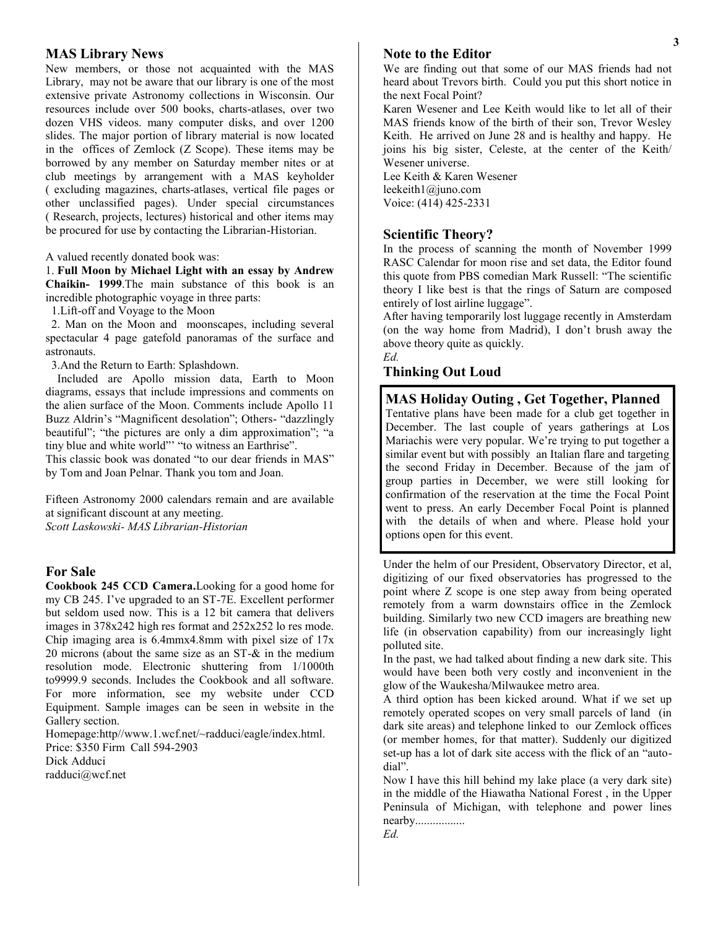#### **MAS Library News**

New members, or those not acquainted with the MAS Library, may not be aware that our library is one of the most extensive private Astronomy collections in Wisconsin. Our resources include over 500 books, charts-atlases, over two dozen VHS videos. many computer disks, and over 1200 slides. The major portion of library material is now located in the offices of Zemlock (Z Scope). These items may be borrowed by any member on Saturday member nites or at club meetings by arrangement with a MAS keyholder ( excluding magazines, charts-atlases, vertical file pages or other unclassified pages). Under special circumstances ( Research, projects, lectures) historical and other items may be procured for use by contacting the Librarian-Historian.

A valued recently donated book was:

1. **Full Moon by Michael Light with an essay by Andrew Chaikin- 1999**.The main substance of this book is an incredible photographic voyage in three parts:

1.Lift-off and Voyage to the Moon

 2. Man on the Moon and moonscapes, including several spectacular 4 page gatefold panoramas of the surface and astronauts.

3.And the Return to Earth: Splashdown.

 Included are Apollo mission data, Earth to Moon diagrams, essays that include impressions and comments on the alien surface of the Moon. Comments include Apollo 11 Buzz Aldrin's "Magnificent desolation"; Others- "dazzlingly beautiful"; "the pictures are only a dim approximation"; "a tiny blue and white world"' "to witness an Earthrise". This classic book was donated "to our dear friends in MAS" by Tom and Joan Pelnar. Thank you tom and Joan.

Fifteen Astronomy 2000 calendars remain and are available at significant discount at any meeting.

*Scott Laskowski- MAS Librarian-Historian*

### **For Sale**

**Cookbook 245 CCD Camera.**Looking for a good home for my CB 245. I've upgraded to an ST-7E. Excellent performer but seldom used now. This is a 12 bit camera that delivers images in 378x242 high res format and 252x252 lo res mode. Chip imaging area is  $6.4$ mmx4.8mm with pixel size of  $17x$ 20 microns (about the same size as an ST-& in the medium resolution mode. Electronic shuttering from 1/1000th to9999.9 seconds. Includes the Cookbook and all software. For more information, see my website under CCD Equipment. Sample images can be seen in website in the Gallery section.

Homepage:http//www.1.wcf.net/~radduci/eagle/index.html. Price: \$350 Firm Call 594-2903

Dick Adduci radduci@wcf.net

### **Note to the Editor**

We are finding out that some of our MAS friends had not heard about Trevors birth. Could you put this short notice in the next Focal Point?

Karen Wesener and Lee Keith would like to let all of their MAS friends know of the birth of their son, Trevor Wesley Keith. He arrived on June 28 and is healthy and happy. He joins his big sister, Celeste, at the center of the Keith/ Wesener universe.

Lee Keith & Karen Wesener leekeith1@juno.com Voice: (414) 425-2331

#### **Scientific Theory?**

In the process of scanning the month of November 1999 RASC Calendar for moon rise and set data, the Editor found this quote from PBS comedian Mark Russell: "The scientific theory I like best is that the rings of Saturn are composed entirely of lost airline luggage".

After having temporarily lost luggage recently in Amsterdam (on the way home from Madrid), I don't brush away the above theory quite as quickly.

*Ed.*

#### **Thinking Out Loud**

# **MAS Holiday Outing , Get Together, Planned**

Tentative plans have been made for a club get together in December. The last couple of years gatherings at Los Mariachis were very popular. We're trying to put together a similar event but with possibly an Italian flare and targeting the second Friday in December. Because of the jam of group parties in December, we were still looking for confirmation of the reservation at the time the Focal Point went to press. An early December Focal Point is planned with the details of when and where. Please hold your options open for this event.

Under the helm of our President, Observatory Director, et al, digitizing of our fixed observatories has progressed to the point where Z scope is one step away from being operated remotely from a warm downstairs office in the Zemlock building. Similarly two new CCD imagers are breathing new life (in observation capability) from our increasingly light polluted site.

In the past, we had talked about finding a new dark site. This would have been both very costly and inconvenient in the glow of the Waukesha/Milwaukee metro area.

A third option has been kicked around. What if we set up remotely operated scopes on very small parcels of land (in dark site areas) and telephone linked to our Zemlock offices (or member homes, for that matter). Suddenly our digitized set-up has a lot of dark site access with the flick of an "autodial".

Now I have this hill behind my lake place (a very dark site) in the middle of the Hiawatha National Forest , in the Upper Peninsula of Michigan, with telephone and power lines nearby.................

*Ed.*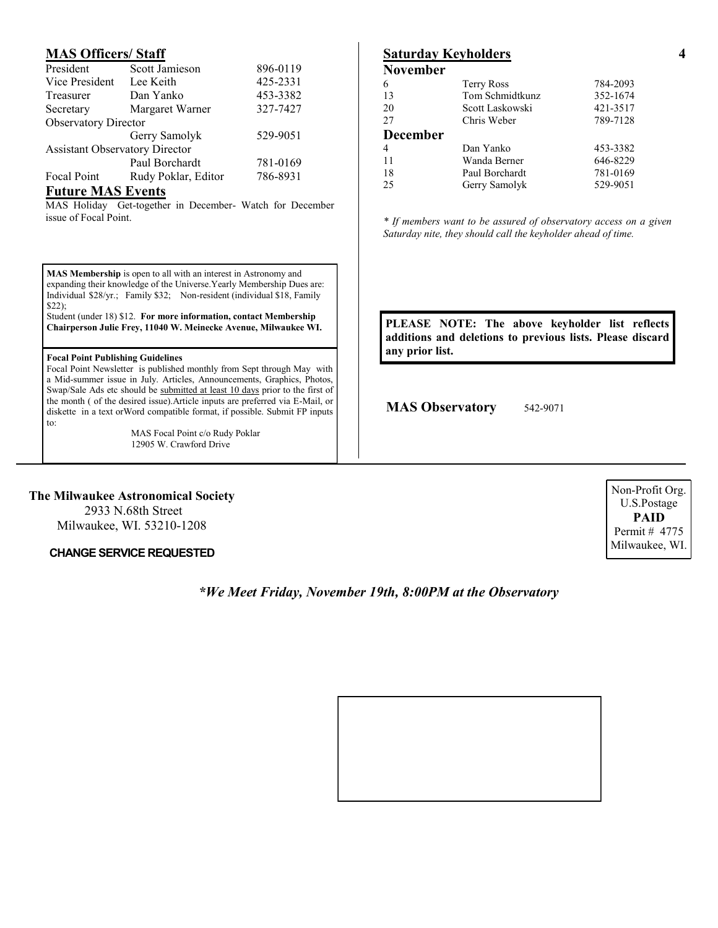# **MAS Officers/ Staff**

| President                             | Scott Jamieson      | 896-0119 |
|---------------------------------------|---------------------|----------|
| Vice President                        | Lee Keith           | 425-2331 |
| Treasurer                             | Dan Yanko           | 453-3382 |
| Secretary                             | Margaret Warner     | 327-7427 |
| <b>Observatory Director</b>           |                     |          |
|                                       | Gerry Samolyk       | 529-9051 |
| <b>Assistant Observatory Director</b> |                     |          |
|                                       | Paul Borchardt      | 781-0169 |
| <b>Focal Point</b>                    | Rudy Poklar, Editor | 786-8931 |
| <b>. .</b>                            | $\overline{1}$      |          |

#### **Future MAS Events**

MAS Holiday Get-together in December- Watch for December issue of Focal Point.

**MAS Membership** is open to all with an interest in Astronomy and expanding their knowledge of the Universe.Yearly Membership Dues are: Individual \$28/yr.; Family \$32; Non-resident (individual \$18, Family \$22);

Student (under 18) \$12. **For more information, contact Membership Chairperson Julie Frey, 11040 W. Meinecke Avenue, Milwaukee WI.** 

#### **Focal Point Publishing Guidelines**

Focal Point Newsletter is published monthly from Sept through May with a Mid-summer issue in July. Articles, Announcements, Graphics, Photos, Swap/Sale Ads etc should be submitted at least 10 days prior to the first of the month ( of the desired issue).Article inputs are preferred via E-Mail, or diskette in a text orWord compatible format, if possible. Submit FP inputs to:

> MAS Focal Point c/o Rudy Poklar 12905 W. Crawford Drive

### **The Milwaukee Astronomical Society**

2933 N.68th Street Milwaukee, WI. 53210-1208

**CHANGE SERVICE REQUESTED** Milwaukee, WI.

# *\*We Meet Friday, November 19th, 8:00PM at the Observatory*

| 6               | <b>Terry Ross</b> | 784-2093 |
|-----------------|-------------------|----------|
| 13              | Tom Schmidtkunz   | 352-1674 |
| 20              | Scott Laskowski   | 421-3517 |
| 27              | Chris Weber       | 789-7128 |
| <b>December</b> |                   |          |
| $\overline{4}$  | Dan Yanko         | 453-3382 |
| 11              | Wanda Berner      | 646-8229 |
| 18              | Paul Borchardt    | 781-0169 |
| 25              | Gerry Samolyk     | 529-9051 |
|                 |                   |          |

*\* If members want to be assured of observatory access on a given Saturday nite, they should call the keyholder ahead of time.*

**PLEASE NOTE: The above keyholder list reflects additions and deletions to previous lists. Please discard any prior list.**

**MAS Observatory** 542-9071

Non-Profit Org. U.S.Postage **PAID** Permit # 4775